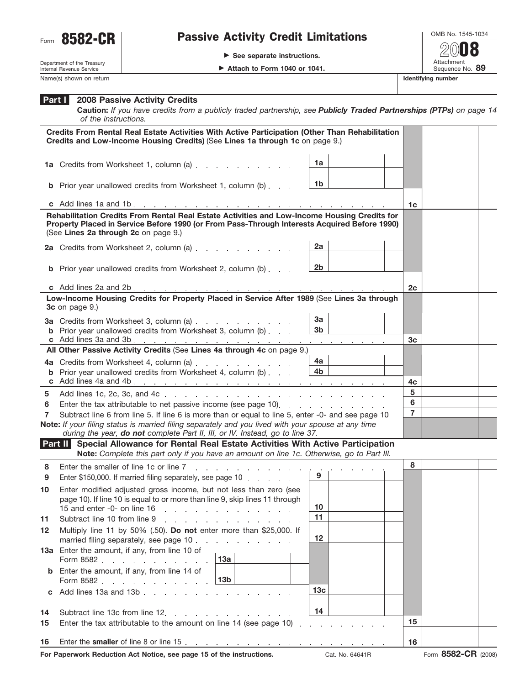

## Form 8582-CR | Passive Activity Credit Limitations

▶ See separate instructions.

OMB No. 1545-1034 Attachment<br>Sequence No. 89 **20**08

Department of the Treasury Internal Revenue Service Name(s) shown on return **Identifying number Identifying number Identifying number** 

## **2008 Passive Activity Credits Part I**

**Caution:** *If you have credits from a publicly traded partnership, see Publicly Traded Partnerships (PTPs) on page 14 of the instructions.*

| Credits From Rental Real Estate Activities With Active Participation (Other Than Rehabilitation<br>Credits and Low-Income Housing Credits) (See Lines 1a through 1c on page 9.) |                                                                                                                                                                                                                                      |                                   |                |  |  |  |
|---------------------------------------------------------------------------------------------------------------------------------------------------------------------------------|--------------------------------------------------------------------------------------------------------------------------------------------------------------------------------------------------------------------------------------|-----------------------------------|----------------|--|--|--|
|                                                                                                                                                                                 | 1a Credits from Worksheet 1, column (a)                                                                                                                                                                                              | 1a                                |                |  |  |  |
|                                                                                                                                                                                 | <b>b</b> Prior year unallowed credits from Worksheet 1, column (b)                                                                                                                                                                   | 1b                                |                |  |  |  |
|                                                                                                                                                                                 |                                                                                                                                                                                                                                      |                                   | 1c             |  |  |  |
|                                                                                                                                                                                 | Rehabilitation Credits From Rental Real Estate Activities and Low-Income Housing Credits for<br>Property Placed in Service Before 1990 (or From Pass-Through Interests Acquired Before 1990)<br>(See Lines 2a through 2c on page 9.) |                                   |                |  |  |  |
|                                                                                                                                                                                 | 2a Credits from Worksheet 2, column (a)                                                                                                                                                                                              | 2a                                |                |  |  |  |
|                                                                                                                                                                                 | <b>b</b> Prior year unallowed credits from Worksheet 2, column (b)                                                                                                                                                                   | 2b                                |                |  |  |  |
|                                                                                                                                                                                 |                                                                                                                                                                                                                                      |                                   | 2c             |  |  |  |
|                                                                                                                                                                                 | Low-Income Housing Credits for Property Placed in Service After 1989 (See Lines 3a through<br>3c on page 9.)                                                                                                                         |                                   |                |  |  |  |
|                                                                                                                                                                                 | 3a Credits from Worksheet 3, column (a) [11] Credits from Worksheet 3, column (a)                                                                                                                                                    | 3a                                |                |  |  |  |
|                                                                                                                                                                                 | <b>b</b> Prior year unallowed credits from Worksheet 3, column (b)                                                                                                                                                                   | 3 <sub>b</sub>                    | 3c             |  |  |  |
| All Other Passive Activity Credits (See Lines 4a through 4c on page 9.)                                                                                                         |                                                                                                                                                                                                                                      |                                   |                |  |  |  |
|                                                                                                                                                                                 |                                                                                                                                                                                                                                      | 4a                                |                |  |  |  |
|                                                                                                                                                                                 | <b>b</b> Prior year unallowed credits from Worksheet 4, column (b)                                                                                                                                                                   | 4 <sub>b</sub>                    | 4c             |  |  |  |
| 5                                                                                                                                                                               |                                                                                                                                                                                                                                      |                                   | 5              |  |  |  |
| 6                                                                                                                                                                               | Enter the tax attributable to net passive income (see page 10).                                                                                                                                                                      |                                   | $6\phantom{a}$ |  |  |  |
| 7                                                                                                                                                                               | Subtract line 6 from line 5. If line 6 is more than or equal to line 5, enter -0- and see page 10                                                                                                                                    | $\overline{7}$                    |                |  |  |  |
|                                                                                                                                                                                 | Note: If your filing status is married filing separately and you lived with your spouse at any time<br>during the year, do not complete Part II, III, or IV. Instead, go to line 37.                                                 |                                   |                |  |  |  |
| Part II                                                                                                                                                                         | Special Allowance for Rental Real Estate Activities With Active Participation                                                                                                                                                        |                                   |                |  |  |  |
|                                                                                                                                                                                 | Note: Complete this part only if you have an amount on line 1c. Otherwise, go to Part III.                                                                                                                                           |                                   |                |  |  |  |
| 8<br>9                                                                                                                                                                          | Enter the smaller of line 1c or line 7<br>and the company of the<br>Enter \$150,000. If married filing separately, see page 10                                                                                                       | 9                                 | 8              |  |  |  |
| 10                                                                                                                                                                              | Enter modified adjusted gross income, but not less than zero (see<br>page 10). If line 10 is equal to or more than line 9, skip lines 11 through<br>15 and enter -0- on line $16$                                                    | 10                                |                |  |  |  |
| 11                                                                                                                                                                              | Subtract line 10 from line 9 [1] [2] Subtract line 10 from line 9                                                                                                                                                                    | 11                                |                |  |  |  |
| 12                                                                                                                                                                              | Multiply line 11 by 50% (.50). Do not enter more than \$25,000. If<br>married filing separately, see page 10                                                                                                                         | 12                                |                |  |  |  |
|                                                                                                                                                                                 | 13a Enter the amount, if any, from line 10 of<br>13a<br>Form 8582                                                                                                                                                                    |                                   |                |  |  |  |
|                                                                                                                                                                                 | <b>b</b> Enter the amount, if any, from line 14 of<br>  13b<br>Form 8582                                                                                                                                                             |                                   |                |  |  |  |
|                                                                                                                                                                                 | c Add lines 13a and 13b.                                                                                                                                                                                                             | 13 <sub>c</sub>                   |                |  |  |  |
| 14                                                                                                                                                                              | Subtract line 13c from line 12.<br>and the contract of the contract of the contract of                                                                                                                                               | 14                                |                |  |  |  |
| 15                                                                                                                                                                              | Enter the tax attributable to the amount on line 14 (see page 10)                                                                                                                                                                    | and the state of the state of the | 15             |  |  |  |
| 16                                                                                                                                                                              |                                                                                                                                                                                                                                      |                                   | 16             |  |  |  |
|                                                                                                                                                                                 |                                                                                                                                                                                                                                      |                                   |                |  |  |  |

**For Paperwork Reduction Act Notice, see page 15 of the instructions.** Cat. No. 64641R Form 8582-CR (2008)